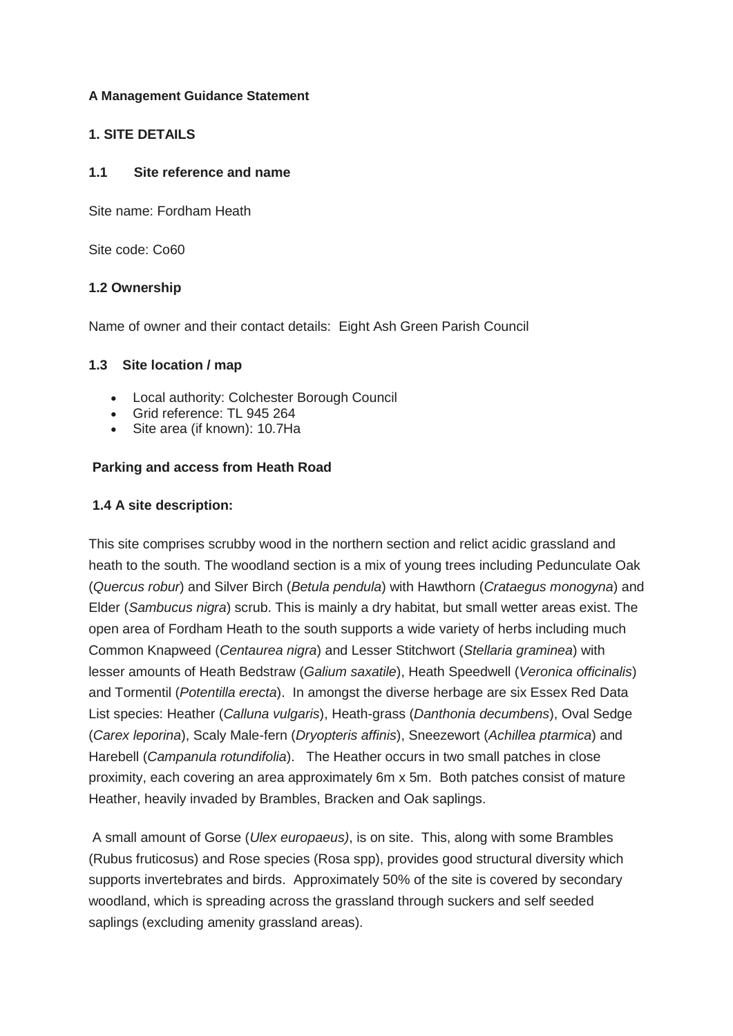## **A Management Guidance Statement**

## **1. SITE DETAILS**

#### **1.1 Site reference and name**

Site name: Fordham Heath

Site code: Co60

## **1.2 Ownership**

Name of owner and their contact details: Eight Ash Green Parish Council

## **1.3 Site location / map**

- Local authority: Colchester Borough Council
- Grid reference: TL 945 264
- Site area (if known): 10.7Ha

## **Parking and access from Heath Road**

## **1.4 A site description:**

This site comprises scrubby wood in the northern section and relict acidic grassland and heath to the south. The woodland section is a mix of young trees including Pedunculate Oak (*Quercus robur*) and Silver Birch (*Betula pendula*) with Hawthorn (*Crataegus monogyna*) and Elder (*Sambucus nigra*) scrub. This is mainly a dry habitat, but small wetter areas exist. The open area of Fordham Heath to the south supports a wide variety of herbs including much Common Knapweed (*Centaurea nigra*) and Lesser Stitchwort (*Stellaria graminea*) with lesser amounts of Heath Bedstraw (*Galium saxatile*), Heath Speedwell (*Veronica officinalis*) and Tormentil (*Potentilla erecta*). In amongst the diverse herbage are six Essex Red Data List species: Heather (*Calluna vulgaris*), Heath-grass (*Danthonia decumbens*), Oval Sedge (*Carex leporina*), Scaly Male-fern (*Dryopteris affinis*), Sneezewort (*Achillea ptarmica*) and Harebell (*Campanula rotundifolia*). The Heather occurs in two small patches in close proximity, each covering an area approximately 6m x 5m. Both patches consist of mature Heather, heavily invaded by Brambles, Bracken and Oak saplings.

A small amount of Gorse (*Ulex europaeus)*, is on site. This, along with some Brambles (Rubus fruticosus) and Rose species (Rosa spp), provides good structural diversity which supports invertebrates and birds. Approximately 50% of the site is covered by secondary woodland, which is spreading across the grassland through suckers and self seeded saplings (excluding amenity grassland areas).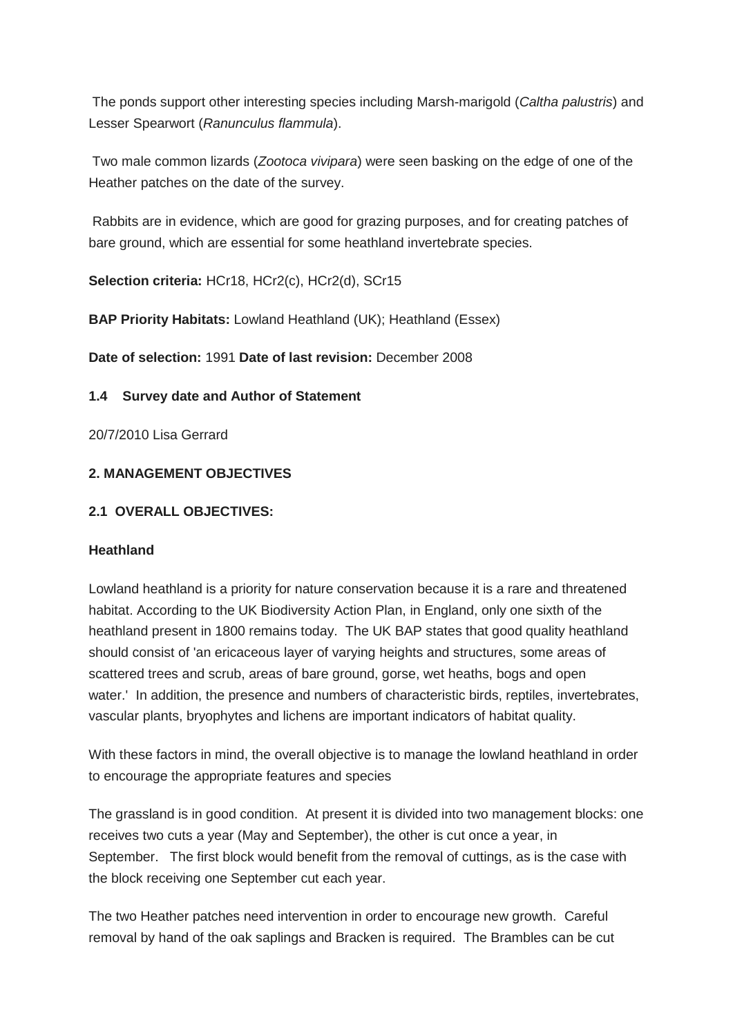The ponds support other interesting species including Marsh-marigold (*Caltha palustris*) and Lesser Spearwort (*Ranunculus flammula*).

Two male common lizards (*Zootoca vivipara*) were seen basking on the edge of one of the Heather patches on the date of the survey.

Rabbits are in evidence, which are good for grazing purposes, and for creating patches of bare ground, which are essential for some heathland invertebrate species.

**Selection criteria:** HCr18, HCr2(c), HCr2(d), SCr15

**BAP Priority Habitats:** Lowland Heathland (UK); Heathland (Essex)

**Date of selection:** 1991 **Date of last revision:** December 2008

# **1.4 Survey date and Author of Statement**

20/7/2010 Lisa Gerrard

# **2. MANAGEMENT OBJECTIVES**

# **2.1 OVERALL OBJECTIVES:**

## **Heathland**

Lowland heathland is a priority for nature conservation because it is a rare and threatened habitat. According to the UK Biodiversity Action Plan, in England, only one sixth of the heathland present in 1800 remains today. The UK BAP states that good quality heathland should consist of 'an ericaceous layer of varying heights and structures, some areas of scattered trees and scrub, areas of bare ground, gorse, wet heaths, bogs and open water.' In addition, the presence and numbers of characteristic birds, reptiles, invertebrates, vascular plants, bryophytes and lichens are important indicators of habitat quality.

With these factors in mind, the overall objective is to manage the lowland heathland in order to encourage the appropriate features and species

The grassland is in good condition. At present it is divided into two management blocks: one receives two cuts a year (May and September), the other is cut once a year, in September. The first block would benefit from the removal of cuttings, as is the case with the block receiving one September cut each year.

The two Heather patches need intervention in order to encourage new growth. Careful removal by hand of the oak saplings and Bracken is required. The Brambles can be cut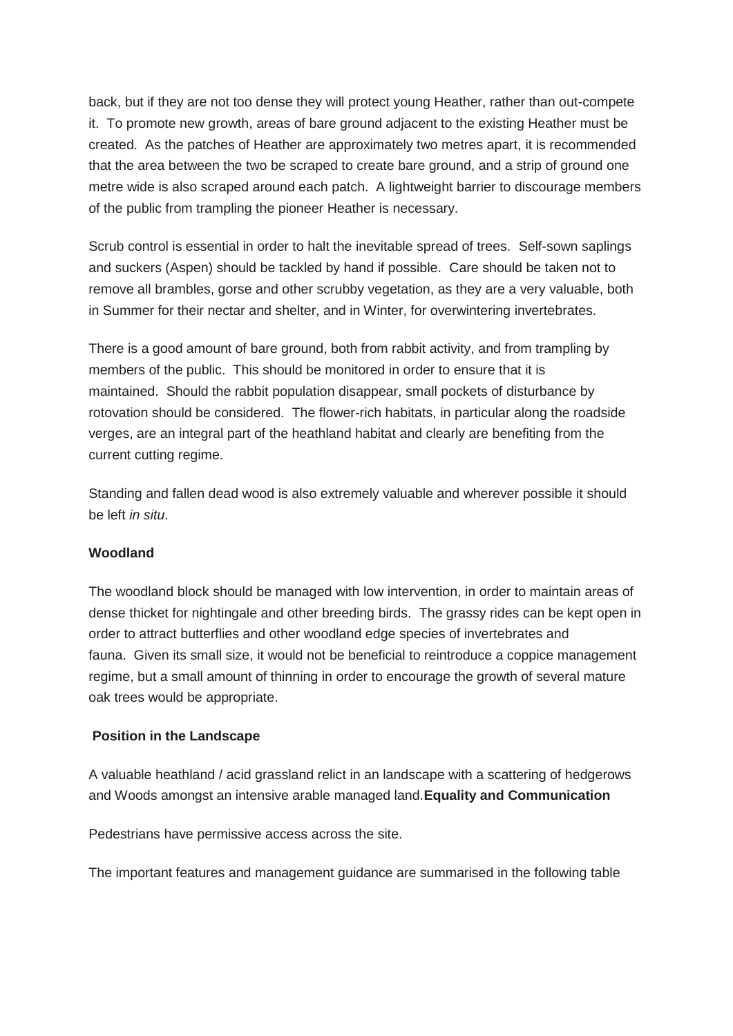back, but if they are not too dense they will protect young Heather, rather than out-compete it. To promote new growth, areas of bare ground adjacent to the existing Heather must be created. As the patches of Heather are approximately two metres apart, it is recommended that the area between the two be scraped to create bare ground, and a strip of ground one metre wide is also scraped around each patch. A lightweight barrier to discourage members of the public from trampling the pioneer Heather is necessary.

Scrub control is essential in order to halt the inevitable spread of trees. Self-sown saplings and suckers (Aspen) should be tackled by hand if possible. Care should be taken not to remove all brambles, gorse and other scrubby vegetation, as they are a very valuable, both in Summer for their nectar and shelter, and in Winter, for overwintering invertebrates.

There is a good amount of bare ground, both from rabbit activity, and from trampling by members of the public. This should be monitored in order to ensure that it is maintained. Should the rabbit population disappear, small pockets of disturbance by rotovation should be considered. The flower-rich habitats, in particular along the roadside verges, are an integral part of the heathland habitat and clearly are benefiting from the current cutting regime.

Standing and fallen dead wood is also extremely valuable and wherever possible it should be left *in situ*.

#### **Woodland**

The woodland block should be managed with low intervention, in order to maintain areas of dense thicket for nightingale and other breeding birds. The grassy rides can be kept open in order to attract butterflies and other woodland edge species of invertebrates and fauna. Given its small size, it would not be beneficial to reintroduce a coppice management regime, but a small amount of thinning in order to encourage the growth of several mature oak trees would be appropriate.

#### **Position in the Landscape**

A valuable heathland / acid grassland relict in an landscape with a scattering of hedgerows and Woods amongst an intensive arable managed land.**Equality and Communication**

Pedestrians have permissive access across the site.

The important features and management guidance are summarised in the following table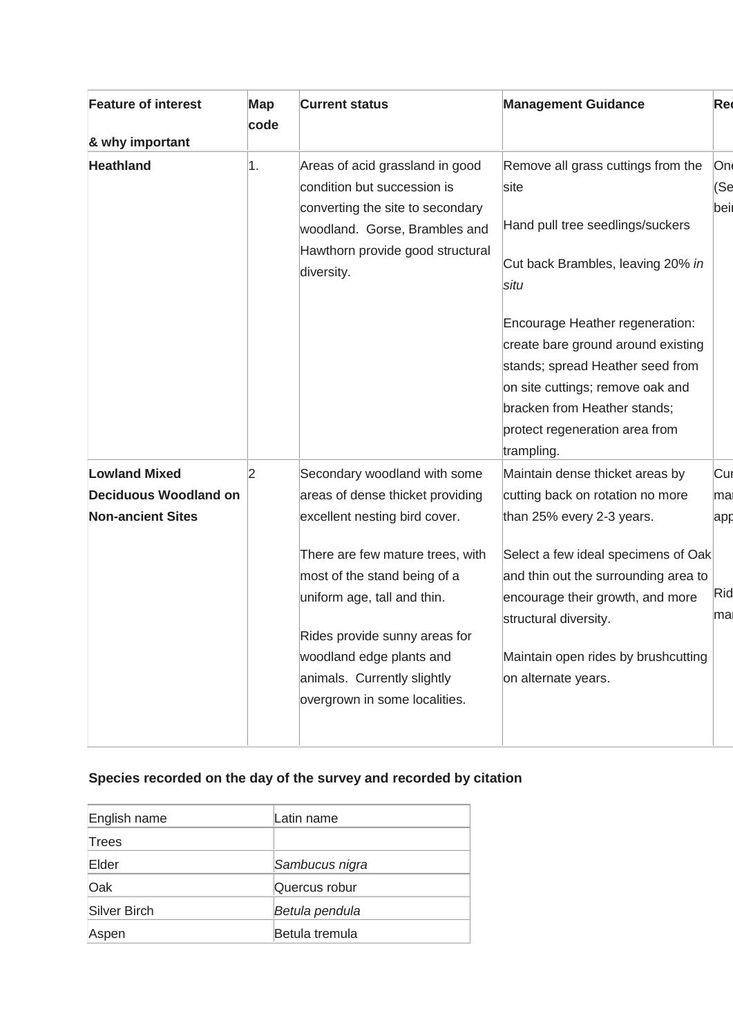| <b>Feature of interest</b>   | Map<br>code | <b>Current status</b>                                                                                                                                                                                                                                         | <b>Management Guidance</b>                                                                                                                                                                                                                                                                                                                     | <b>Red</b>        |
|------------------------------|-------------|---------------------------------------------------------------------------------------------------------------------------------------------------------------------------------------------------------------------------------------------------------------|------------------------------------------------------------------------------------------------------------------------------------------------------------------------------------------------------------------------------------------------------------------------------------------------------------------------------------------------|-------------------|
| & why important              |             |                                                                                                                                                                                                                                                               |                                                                                                                                                                                                                                                                                                                                                |                   |
| <b>Heathland</b>             | 1.          | Areas of acid grassland in good<br>condition but succession is<br>converting the site to secondary<br>woodland. Gorse, Brambles and<br>Hawthorn provide good structural<br>diversity.                                                                         | Remove all grass cuttings from the<br>site<br>Hand pull tree seedlings/suckers<br>Cut back Brambles, leaving 20% in<br>situ<br>Encourage Heather regeneration:<br>create bare ground around existing<br>stands; spread Heather seed from<br>on site cuttings; remove oak and<br>bracken from Heather stands;<br>protect regeneration area from | On<br>(Se<br>bei  |
|                              |             |                                                                                                                                                                                                                                                               | trampling.                                                                                                                                                                                                                                                                                                                                     |                   |
| <b>Lowland Mixed</b>         | 2           | Secondary woodland with some                                                                                                                                                                                                                                  | Maintain dense thicket areas by                                                                                                                                                                                                                                                                                                                | Cur               |
| <b>Deciduous Woodland on</b> |             | areas of dense thicket providing                                                                                                                                                                                                                              | cutting back on rotation no more                                                                                                                                                                                                                                                                                                               | mal               |
| <b>Non-ancient Sites</b>     |             | excellent nesting bird cover.<br>There are few mature trees, with<br>most of the stand being of a<br>uniform age, tall and thin.<br>Rides provide sunny areas for<br>woodland edge plants and<br>animals. Currently slightly<br>overgrown in some localities. | than 25% every 2-3 years.<br>Select a few ideal specimens of Oak<br>and thin out the surrounding area to<br>encourage their growth, and more<br>structural diversity.<br>Maintain open rides by brushcutting<br>on alternate years.                                                                                                            | app<br>Rid<br>mal |

# **Species recorded on the day of the survey and recorded by citation**

| English name | Latin name     |
|--------------|----------------|
| Trees        |                |
| Elder        | Sambucus nigra |
| Oak          | Quercus robur  |
| Silver Birch | Betula pendula |
| Aspen        | Betula tremula |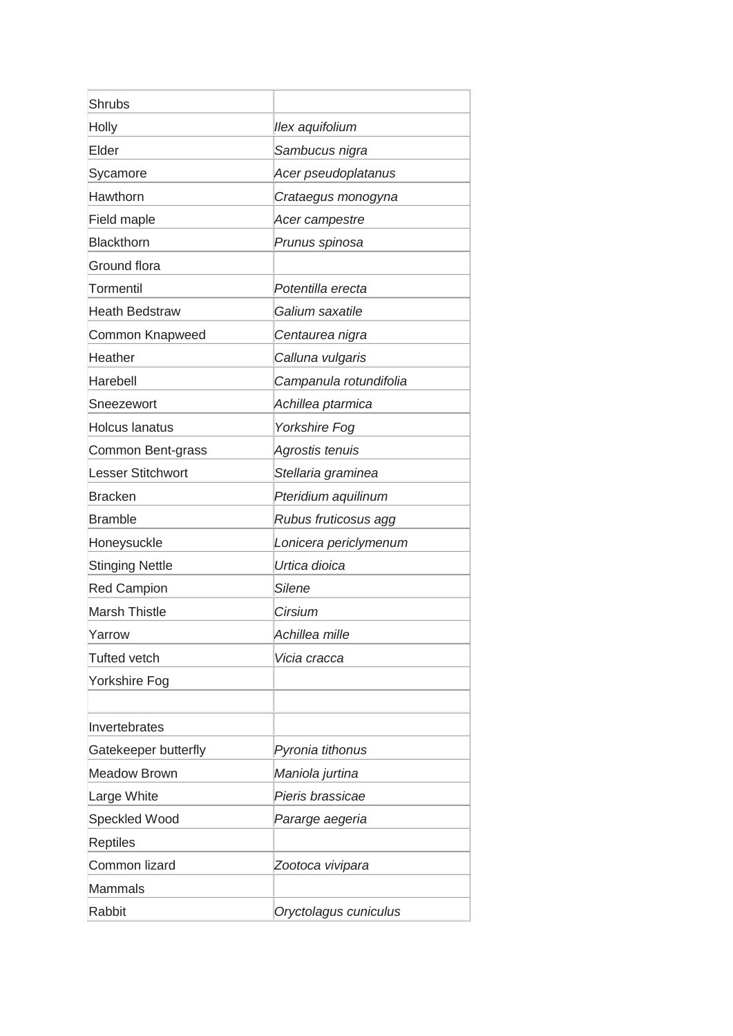| <b>Shrubs</b>            |                        |
|--------------------------|------------------------|
| Holly                    | llex aquifolium        |
| Elder                    | Sambucus nigra         |
| Sycamore                 | Acer pseudoplatanus    |
| Hawthorn                 | Crataegus monogyna     |
| Field maple              | Acer campestre         |
| <b>Blackthorn</b>        | Prunus spinosa         |
| Ground flora             |                        |
| Tormentil                | Potentilla erecta      |
| <b>Heath Bedstraw</b>    | Galium saxatile        |
| Common Knapweed          | Centaurea nigra        |
| Heather                  | Calluna vulgaris       |
| Harebell                 | Campanula rotundifolia |
| Sneezewort               | Achillea ptarmica      |
| <b>Holcus lanatus</b>    | <b>Yorkshire Fog</b>   |
| Common Bent-grass        | Agrostis tenuis        |
| <b>Lesser Stitchwort</b> | Stellaria graminea     |
| <b>Bracken</b>           | Pteridium aquilinum    |
| <b>Bramble</b>           | Rubus fruticosus agg   |
| Honeysuckle              | Lonicera periclymenum  |
| <b>Stinging Nettle</b>   | Urtica dioica          |
| <b>Red Campion</b>       | <b>Silene</b>          |
| <b>Marsh Thistle</b>     | Cirsium                |
| Yarrow                   | Achillea mille         |
| <b>Tufted vetch</b>      | Vicia cracca           |
| Yorkshire Fog            |                        |
|                          |                        |
| Invertebrates            |                        |
| Gatekeeper butterfly     | Pyronia tithonus       |
| <b>Meadow Brown</b>      | Maniola jurtina        |
| Large White              | Pieris brassicae       |
| Speckled Wood            | Pararge aegeria        |
| <b>Reptiles</b>          |                        |
| Common lizard            | Zootoca vivipara       |
| Mammals                  |                        |
| Rabbit                   | Oryctolagus cuniculus  |